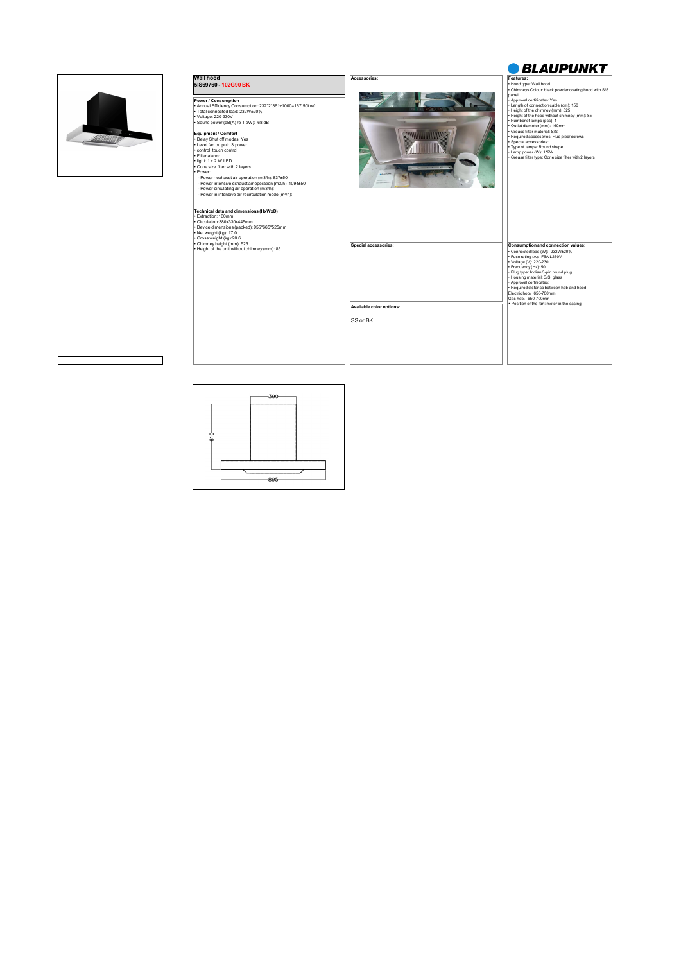

 $\Gamma$ 



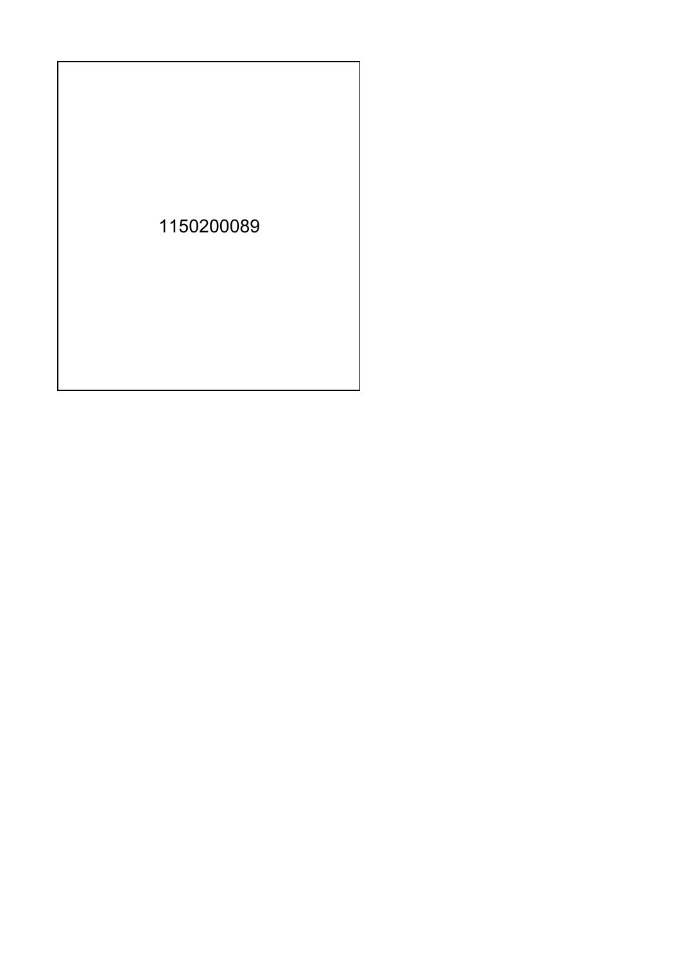